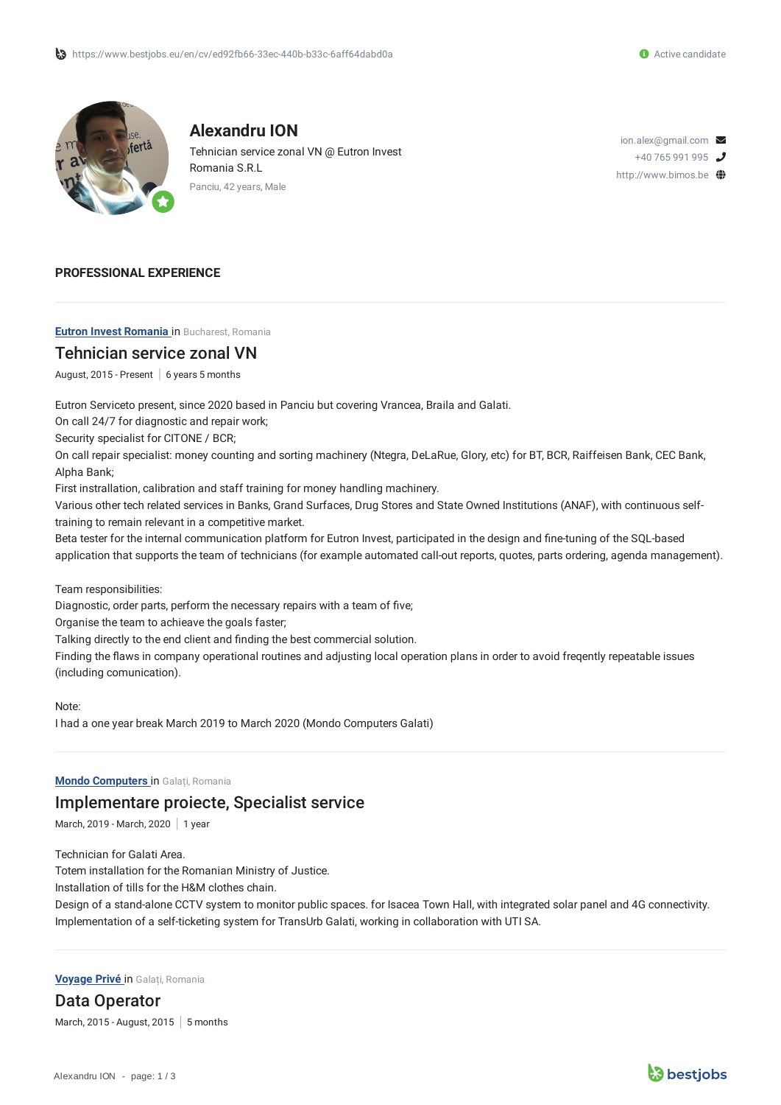

**Alexandru ION** Tehnician service zonal VN @ Eutron Invest Romania S.R.L Panciu, 42 years, Male

ion.alex@gmail.com  $\triangleright$  $+40$  765 991 995 http://www.bimos.be

#### **PROFESSIONAL EXPERIENCE**

**Eutron Invest Romania** in Bucharest, Romania

### Tehnician service zonal VN

August, 2015 - Present  $\mid 6$  years 5 months

Eutron Serviceto present, since 2020 based in Panciu but covering Vrancea, Braila and Galati.

On call 24/7 for diagnostic and repair work;

Security specialist for CITONE / BCR;

On call repair specialist: money counting and sorting machinery (Ntegra, DeLaRue, Glory, etc) for BT, BCR, Raiffeisen Bank, CEC Bank, Alpha Bank;

First instrallation, calibration and staff training for money handling machinery.

Various other tech related services in Banks, Grand Surfaces, Drug Stores and State Owned Institutions (ANAF), with continuous selftraining to remain relevant in a competitive market.

Beta tester for the internal communication platform for Eutron Invest, participated in the design and fine-tuning of the SQL-based application that supports the team of technicians (for example automated call-out reports, quotes, parts ordering, agenda management).

Team responsibilities:

Diagnostic, order parts, perform the necessary repairs with a team of five;

Organise the team to achieave the goals faster;

Talking directly to the end client and finding the best commercial solution.

Finding the flaws in company operational routines and adjusting local operation plans in order to avoid freqently repeatable issues (including comunication).

Note:

I had a one year break March 2019 to March 2020 (Mondo Computers Galati)

**Mondo Computers** in Galați, Romania

### Implementare proiecte, Specialist service

March, 2019 - March, 2020 | 1 year

Technician for Galati Area.

Totem installation for the Romanian Ministry of Justice.

Installation of tills for the H&M clothes chain.

Design of a stand-alone CCTV system to monitor public spaces. for Isacea Town Hall, with integrated solar panel and 4G connectivity. Implementation of a self-ticketing system for TransUrb Galati, working in collaboration with UTI SA.

#### **Voyage Privé** in Galați, Romania

Data Operator March, 2015 - August, 2015  $\vert$  5 months

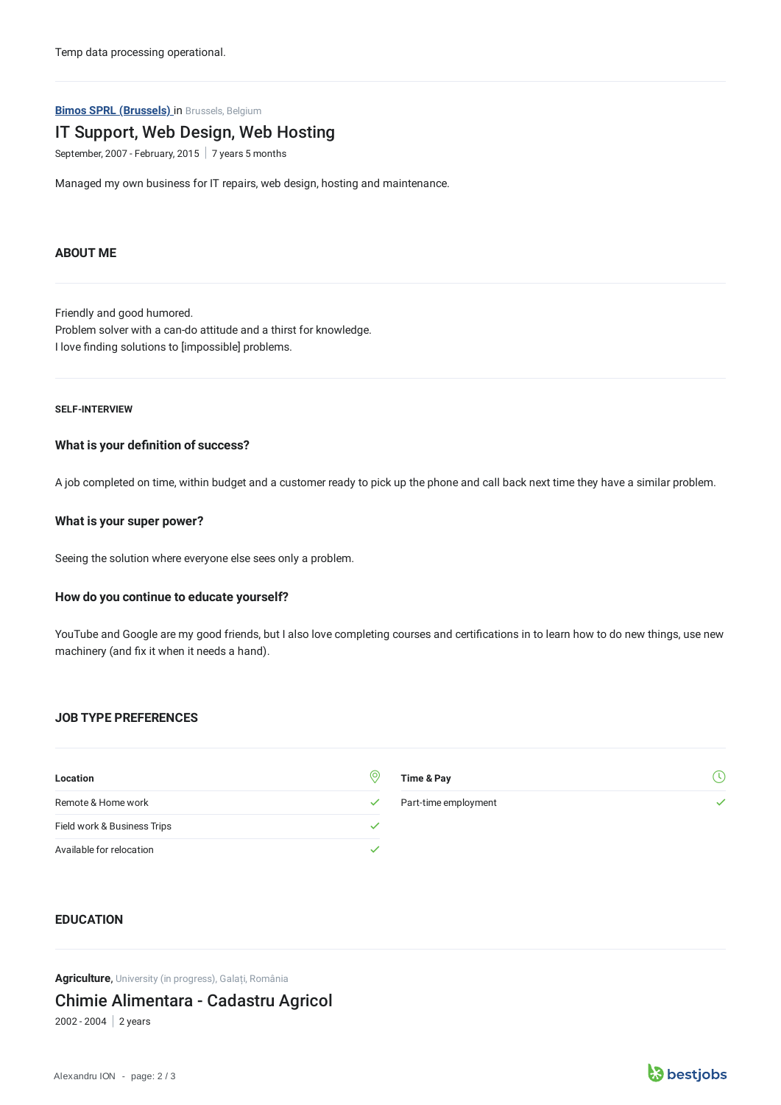Temp data processing operational.

**Bimos SPRL (Brussels)** in Brussels, Belgium

# IT Support, Web Design, Web Hosting

September, 2007 - February, 2015  $\mid$  7 years 5 months

Managed my own business for IT repairs, web design, hosting and maintenance.

#### **ABOUT ME**

Friendly and good humored. Problem solver with a can-do attitude and a thirst for knowledge. I love finding solutions to [impossible] problems.

#### **SELF-INTERVIEW**

#### **What is your definition of success?**

A job completed on time, within budget and a customer ready to pick up the phone and call back next time they have a similar problem.

### **What is your super power?**

Seeing the solution where everyone else sees only a problem.

#### **How do you continue to educate yourself?**

YouTube and Google are my good friends, but I also love completing courses and certifications in to learn how to do new things, use new machinery (and fix it when it needs a hand).

#### **JOB TYPE PREFERENCES**

| Location                    | (o           | Time & Pay           |  |
|-----------------------------|--------------|----------------------|--|
| Remote & Home work          | $\checkmark$ | Part-time employment |  |
| Field work & Business Trips |              |                      |  |
| Available for relocation    |              |                      |  |

## **EDUCATION**

**Agriculture**, University (in progress), Galați, România

Chimie Alimentara - Cadastru Agricol

2002 - 2004 2 years